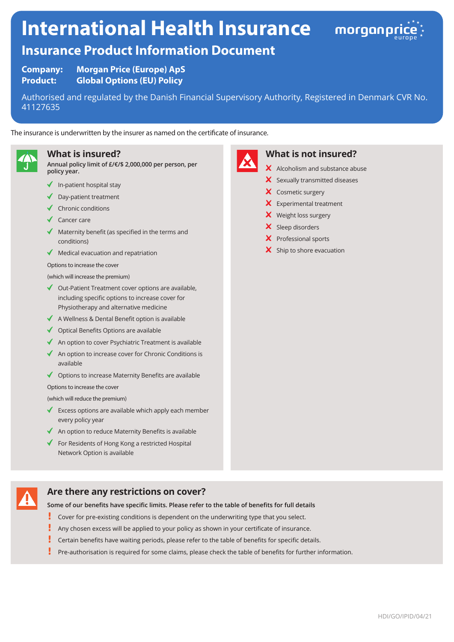# **International Health Insurance**



# **Insurance Product Information Document**

**Company: Morgan Price (Europe) ApS Product: Global Options (EU) Policy**

Authorised and regulated by the Danish Financial Supervisory Authority, Registered in Denmark CVR No. 41127635

The insurance is underwritten by the insurer as named on the certificate of insurance.



### **What is insured?**

**Annual policy limit of £/€/\$ 2,000,000 per person, per policy year.**

- $\blacklozenge$  In-patient hospital stay
- Day-patient treatment
- $\sqrt{\phantom{a}}$  Chronic conditions
- ◆ Cancer care
- Maternity benefit (as specified in the terms and conditions)
- $\blacklozenge$  Medical evacuation and repatriation
- Options to increase the cover

(which will increase the premium)

- ◆ Out-Patient Treatment cover options are available, including specific options to increase cover for Physiotherapy and alternative medicine
- $\triangleleft$  A Wellness & Dental Benefit option is available
- $\triangleleft$  Optical Benefits Options are available
- $\triangleleft$  An option to cover Psychiatric Treatment is available
- An option to increase cover for Chronic Conditions is available
- $\triangleleft$  Options to increase Maternity Benefits are available

Options to increase the cover

(which will reduce the premium)

- Excess options are available which apply each member every policy year
- $\triangleleft$  An option to reduce Maternity Benefits is available
- $\blacklozenge$  For Residents of Hong Kong a restricted Hospital Network Option is available

# **Are there any restrictions on cover?**

**Some of our benefits have specific limits. Please refer to the table of benefits for full details**

- ı Cover for pre-existing conditions is dependent on the underwriting type that you select.
- Į Any chosen excess will be applied to your policy as shown in your certificate of insurance.
- Certain benefits have waiting periods, please refer to the table of benefits for specific details.
- L Pre-authorisation is required for some claims, please check the table of benefits for further information.



# **What is not insured?**

- X Alcoholism and substance abuse
- $\boldsymbol{\times}$  Sexually transmitted diseases
- X Cosmetic surgery
- **X** Experimental treatment
- X Weight loss surgery
- X Sleep disorders
- X Professional sports
- $\boldsymbol{\times}$  Ship to shore evacuation